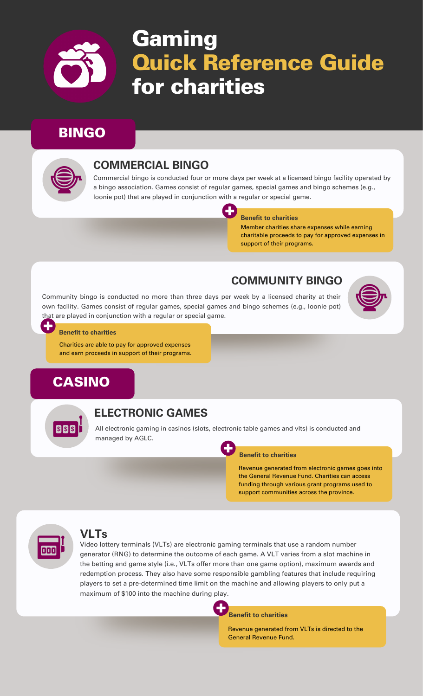

# Gaming Quick Reference Guide for charities

# BINGO



### **COMMERCIAL BINGO**

Commercial bingo is conducted four or more days per week at a licensed bingo facility operated by a bingo association. Games consist of regular games, special games and bingo schemes (e.g., loonie pot) that are played in conjunction with a regular or special game.

C J

#### **Benefit to charities**

Member charities share expenses while earning charitable proceeds to pay for approved expenses in support of their programs.

# **COMMUNITY BINGO**

Community bingo is conducted no more than three days per week by a licensed charity at their own facility. Games consist of regular games, special games and bingo schemes (e.g., loonie pot) that are played in conjunction with a regular or special game.



#### **Benefit to charities**

Charities are able to pay for approved expenses and earn proceeds in support of their programs.

# CASINO



#### **ELECTRONIC GAMES**

All electronic gaming in casinos (slots, electronic table games and vlts) is conducted and managed by AGLC.

#### **Benefit to charities**

Revenue generated from electronic games goes into the General Revenue Fund. Charities can access funding through various grant programs used to support communities across the province.



#### **VLTs**

Video lottery terminals (VLTs) are electronic gaming terminals that use a random number generator (RNG) to determine the outcome of each game. A VLT varies from a slot machine in the betting and game style (i.e., VLTs offer more than one game option), maximum awards and redemption process. They also have some responsible gambling features that include requiring players to set a pre-determined time limit on the machine and allowing players to only put a maximum of \$100 into the machine during play.

**Benefit to charities**

Revenue generated from VLTs is directed to the General Revenue Fund.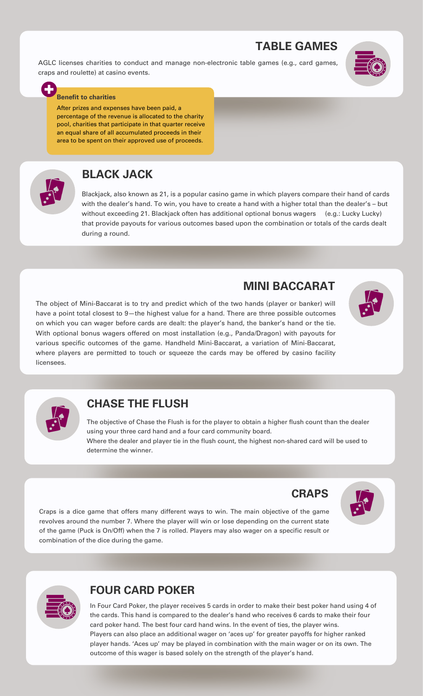# **TABLE GAMES**

**MINI BACCARAT**

AGLC licenses charities to conduct and manage non-electronic table games (e.g., card games, craps and roulette) at casino events.



#### **Benefit to charities**

After prizes and expenses have been paid, a percentage of the revenue is allocated to the charity pool, charities that participate in that quarter receive an equal share of all accumulated proceeds in their area to be spent on their approved use of proceeds.



# **BLACK JACK**

Blackjack, also known as 21, is a popular casino game in which players compare their hand of cards with the dealer's hand. To win, you have to create a hand with a higher total than the dealer's – but without exceeding 21. Blackjack often has additional optional bonus wagers (e.g.: Lucky Lucky) that provide payouts for various outcomes based upon the combination or totals of the cards dealt during a round.

The object of Mini-Baccarat is to try and predict which of the two hands (player or banker) will have a point total closest to 9-the highest value for a hand. There are three possible outcomes on which you can wager before cards are dealt: the player's hand, the banker's hand or the tie. With optional bonus wagers offered on most installation (e.g., Panda/Dragon) with payouts for various specific outcomes of the game. Handheld Mini-Baccarat, a variation of Mini-Baccarat, where players are permitted to touch or squeeze the cards may be offered by casino facility licensees.





#### **CHASE THE FLUSH**

The objective of Chase the Flush is for the player to obtain a higher flush count than the dealer using your three card hand and a four card community board. Where the dealer and player tie in the flush count, the highest non‐shared card will be used to determine the winner.



Craps is a dice game that offers many different ways to win. The main objective of the game revolves around the number 7. Where the player will win or lose depending on the current state of the game (Puck is On/Off) when the 7 is rolled. Players may also wager on a specific result or combination of the dice during the game.



#### **FOUR CARD POKER**

In Four Card Poker, the player receives 5 cards in order to make their best poker hand using 4 of the cards. This hand is compared to the dealer's hand who receives 6 cards to make their four card poker hand. The best four card hand wins. In the event of ties, the player wins. Players can also place an additional wager on 'aces up' for greater payoffs for higher ranked player hands. 'Aces up' may be played in combination with the main wager or on its own. The outcome of this wager is based solely on the strength of the player's hand.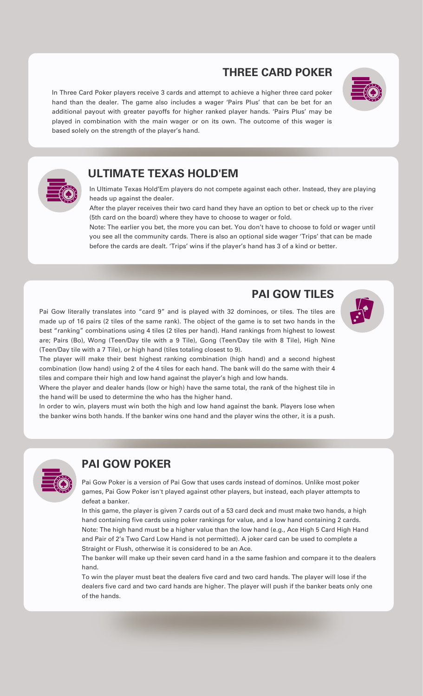# **THREE CARD POKER**

In Three Card Poker players receive 3 cards and attempt to achieve a higher three card poker hand than the dealer. The game also includes a wager 'Pairs Plus' that can be bet for an additional payout with greater payoffs for higher ranked player hands. 'Pairs Plus' may be played in combination with the main wager or on its own. The outcome of this wager is based solely on the strength of the player's hand.





# **ULTIMATE TEXAS HOLD'EM**

In Ultimate Texas Hold'Em players do not compete against each other. Instead, they are playing heads up against the dealer.

After the player receives their two card hand they have an option to bet or check up to the river (5th card on the board) where they have to choose to wager or fold.

Note: The earlier you bet, the more you can bet. You don't have to choose to fold or wager until you see all the community cards. There is also an optional side wager 'Trips' that can be made before the cards are dealt. 'Trips' wins if the player's hand has 3 of a kind or better.

### **PAI GOW TILES**

Pai Gow literally translates into "card 9" and is played with 32 dominoes, or tiles. The tiles are made up of 16 pairs (2 tiles of the same rank). The object of the game is to set two hands in the best "ranking" combinations using 4 tiles (2 tiles per hand). Hand rankings from highest to lowest are; Pairs (Bo), Wong (Teen/Day tile with a 9 Tile), Gong (Teen/Day tile with 8 Tile), High Nine (Teen/Day tile with a 7 Tile), or high hand (tiles totaling closest to 9).

The player will make their best highest ranking combination (high hand) and a second highest combination (low hand) using 2 of the 4 tiles for each hand. The bank will do the same with their 4 tiles and compare their high and low hand against the player's high and low hands.

Where the player and dealer hands (low or high) have the same total, the rank of the highest tile in the hand will be used to determine the who has the higher hand.

In order to win, players must win both the high and low hand against the bank. Players lose when the banker wins both hands. If the banker wins one hand and the player wins the other, it is a push.



# **PAI GOW POKER**

Pai Gow Poker is a version of Pai Gow that uses cards instead of dominos. Unlike most poker games, Pai Gow Poker isn't played against other players, but instead, each player attempts to defeat a banker.

In this game, the player is given 7 cards out of a 53 card deck and must make two hands, a high hand containing five cards using poker rankings for value, and a low hand containing 2 cards. Note: The high hand must be a higher value than the low hand (e.g., Ace High 5 Card High Hand and Pair of 2's Two Card Low Hand is not permitted). A joker card can be used to complete a Straight or Flush, otherwise it is considered to be an Ace.

The banker will make up their seven card hand in a the same fashion and compare it to the dealers hand.

To win the player must beat the dealers five card and two card hands. The player will lose if the dealers five card and two card hands are higher. The player will push if the banker beats only one of the hands.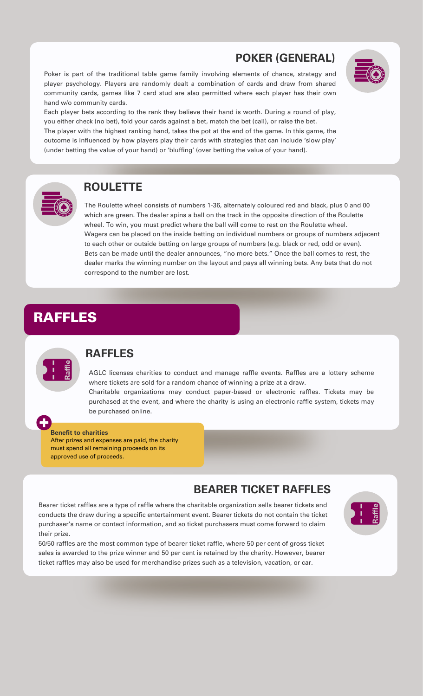# **POKER (GENERAL)**

Poker is part of the traditional table game family involving elements of chance, strategy and player psychology. Players are randomly dealt a combination of cards and draw from shared community cards, games like 7 card stud are also permitted where each player has their own hand w/o community cards.



Each player bets according to the rank they believe their hand is worth. During a round of play, you either check (no bet), fold your cards against a bet, match the bet (call), or raise the bet. The player with the highest ranking hand, takes the pot at the end of the game. In this game, the outcome is influenced by how players play their cards with strategies that can include 'slow play' (under betting the value of your hand) or 'bluffing' (over betting the value of your hand).



#### **ROULETTE**

The Roulette wheel consists of numbers 1-36, alternately coloured red and black, plus 0 and 00 which are green. The dealer spins a ball on the track in the opposite direction of the Roulette wheel. To win, you must predict where the ball will come to rest on the Roulette wheel. Wagers can be placed on the inside betting on individual numbers or groups of numbers adjacent to each other or outside betting on large groups of numbers (e.g. black or red, odd or even). Bets can be made until the dealer announces, "no more bets." Once the ball comes to rest, the dealer marks the winning number on the layout and pays all winning bets. Any bets that do not correspond to the number are lost.

# RAFFLES



#### **RAFFLES**

AGLC licenses charities to conduct and manage raffle events. Raffles are a lottery scheme where tickets are sold for a random chance of winning a prize at a draw. Charitable organizations may conduct paper-based or electronic raffles. Tickets may be purchased at the event, and where the charity is using an electronic raffle system, tickets may be purchased online.

#### **Benefit to charities**

After prizes and expenses are paid, the charity must spend all remaining proceeds on its approved use of proceeds.

#### **BEARER TICKET RAFFLES**

Bearer ticket raffles are a type of raffle where the charitable organization sells bearer tickets and conducts the draw during a specific entertainment event. Bearer tickets do not contain the ticket purchaser's name or contact information, and so ticket purchasers must come forward to claim their prize.



50/50 raffles are the most common type of bearer ticket raffle, where 50 per cent of gross ticket sales is awarded to the prize winner and 50 per cent is retained by the charity. However, bearer ticket raffles may also be used for merchandise prizes such as a television, vacation, or car.